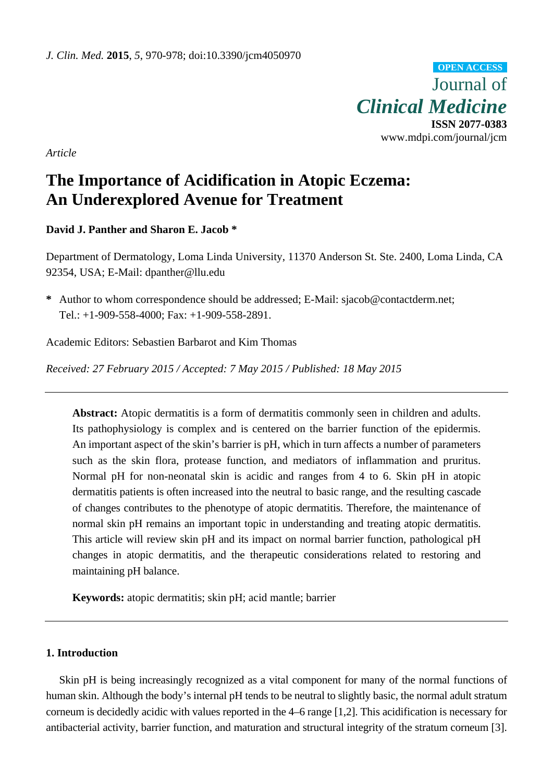Journal of *Clinical Medicine*  **ISSN 2077-0383**  www.mdpi.com/journal/jcm **OPEN ACCESS**

*Article* 

# **The Importance of Acidification in Atopic Eczema: An Underexplored Avenue for Treatment**

**David J. Panther and Sharon E. Jacob \*** 

Department of Dermatology, Loma Linda University, 11370 Anderson St. Ste. 2400, Loma Linda, CA 92354, USA; E-Mail: dpanther@llu.edu

**\*** Author to whom correspondence should be addressed; E-Mail: sjacob@contactderm.net; Tel.: +1-909-558-4000; Fax: +1-909-558-2891.

Academic Editors: Sebastien Barbarot and Kim Thomas

*Received: 27 February 2015 / Accepted: 7 May 2015 / Published: 18 May 2015* 

Abstract: Atopic dermatitis is a form of dermatitis commonly seen in children and adults. Its pathophysiology is complex and is centered on the barrier function of the epidermis. An important aspect of the skin's barrier is pH, which in turn affects a number of parameters such as the skin flora, protease function, and mediators of inflammation and pruritus. Normal pH for non-neonatal skin is acidic and ranges from 4 to 6. Skin pH in atopic dermatitis patients is often increased into the neutral to basic range, and the resulting cascade of changes contributes to the phenotype of atopic dermatitis. Therefore, the maintenance of normal skin pH remains an important topic in understanding and treating atopic dermatitis. This article will review skin pH and its impact on normal barrier function, pathological pH changes in atopic dermatitis, and the therapeutic considerations related to restoring and maintaining pH balance.

**Keywords:** atopic dermatitis; skin pH; acid mantle; barrier

# **1. Introduction**

Skin pH is being increasingly recognized as a vital component for many of the normal functions of human skin. Although the body's internal pH tends to be neutral to slightly basic, the normal adult stratum corneum is decidedly acidic with values reported in the 4–6 range [1,2]. This acidification is necessary for antibacterial activity, barrier function, and maturation and structural integrity of the stratum corneum [3].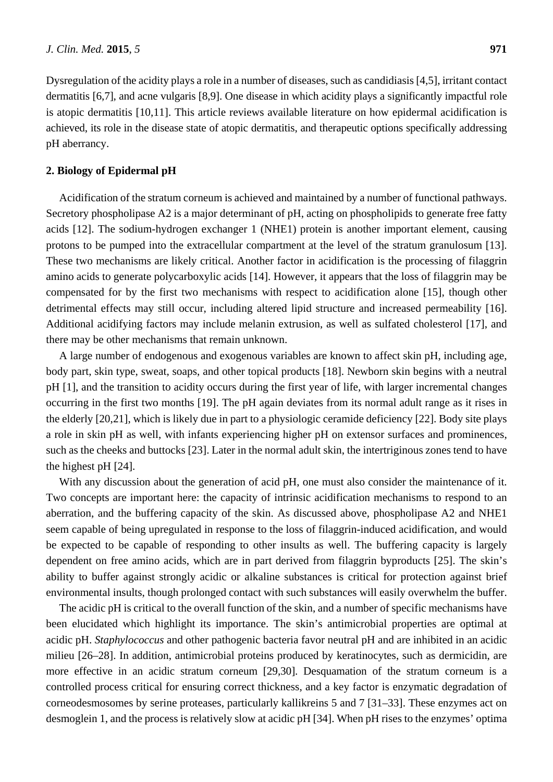Dysregulation of the acidity plays a role in a number of diseases, such as candidiasis [4,5], irritant contact dermatitis [6,7], and acne vulgaris [8,9]. One disease in which acidity plays a significantly impactful role is atopic dermatitis [10,11]. This article reviews available literature on how epidermal acidification is achieved, its role in the disease state of atopic dermatitis, and therapeutic options specifically addressing pH aberrancy.

#### **2. Biology of Epidermal pH**

Acidification of the stratum corneum is achieved and maintained by a number of functional pathways. Secretory phospholipase A2 is a major determinant of pH, acting on phospholipids to generate free fatty acids [12]. The sodium-hydrogen exchanger 1 (NHE1) protein is another important element, causing protons to be pumped into the extracellular compartment at the level of the stratum granulosum [13]. These two mechanisms are likely critical. Another factor in acidification is the processing of filaggrin amino acids to generate polycarboxylic acids [14]. However, it appears that the loss of filaggrin may be compensated for by the first two mechanisms with respect to acidification alone [15], though other detrimental effects may still occur, including altered lipid structure and increased permeability [16]. Additional acidifying factors may include melanin extrusion, as well as sulfated cholesterol [17], and there may be other mechanisms that remain unknown.

A large number of endogenous and exogenous variables are known to affect skin pH, including age, body part, skin type, sweat, soaps, and other topical products [18]. Newborn skin begins with a neutral pH [1], and the transition to acidity occurs during the first year of life, with larger incremental changes occurring in the first two months [19]. The pH again deviates from its normal adult range as it rises in the elderly [20,21], which is likely due in part to a physiologic ceramide deficiency [22]. Body site plays a role in skin pH as well, with infants experiencing higher pH on extensor surfaces and prominences, such as the cheeks and buttocks [23]. Later in the normal adult skin, the intertriginous zones tend to have the highest pH [24].

With any discussion about the generation of acid pH, one must also consider the maintenance of it. Two concepts are important here: the capacity of intrinsic acidification mechanisms to respond to an aberration, and the buffering capacity of the skin. As discussed above, phospholipase A2 and NHE1 seem capable of being upregulated in response to the loss of filaggrin-induced acidification, and would be expected to be capable of responding to other insults as well. The buffering capacity is largely dependent on free amino acids, which are in part derived from filaggrin byproducts [25]. The skin's ability to buffer against strongly acidic or alkaline substances is critical for protection against brief environmental insults, though prolonged contact with such substances will easily overwhelm the buffer.

The acidic pH is critical to the overall function of the skin, and a number of specific mechanisms have been elucidated which highlight its importance. The skin's antimicrobial properties are optimal at acidic pH. *Staphylococcus* and other pathogenic bacteria favor neutral pH and are inhibited in an acidic milieu [26–28]. In addition, antimicrobial proteins produced by keratinocytes, such as dermicidin, are more effective in an acidic stratum corneum [29,30]. Desquamation of the stratum corneum is a controlled process critical for ensuring correct thickness, and a key factor is enzymatic degradation of corneodesmosomes by serine proteases, particularly kallikreins 5 and 7 [31–33]. These enzymes act on desmoglein 1, and the process is relatively slow at acidic pH [34]. When pH rises to the enzymes' optima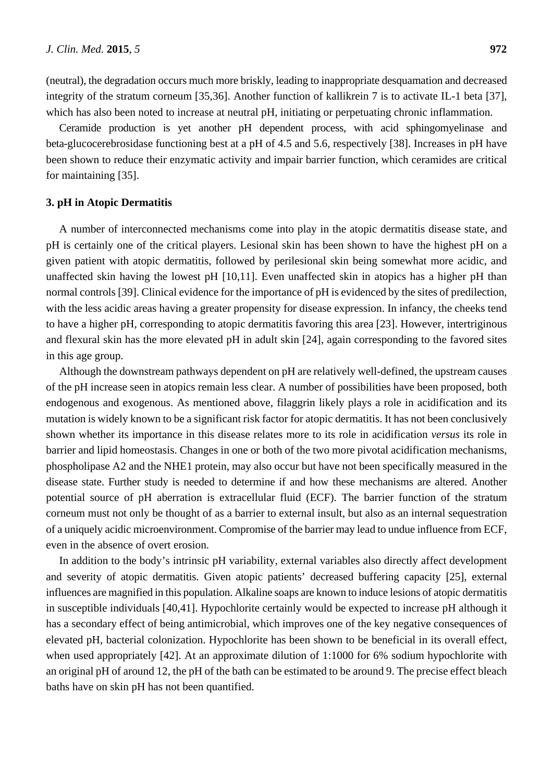(neutral), the degradation occurs much more briskly, leading to inappropriate desquamation and decreased integrity of the stratum corneum [35,36]. Another function of kallikrein 7 is to activate IL-1 beta [37], which has also been noted to increase at neutral pH, initiating or perpetuating chronic inflammation.

Ceramide production is yet another pH dependent process, with acid sphingomyelinase and beta-glucocerebrosidase functioning best at a pH of 4.5 and 5.6, respectively [38]. Increases in pH have been shown to reduce their enzymatic activity and impair barrier function, which ceramides are critical for maintaining [35].

#### **3. pH in Atopic Dermatitis**

A number of interconnected mechanisms come into play in the atopic dermatitis disease state, and pH is certainly one of the critical players. Lesional skin has been shown to have the highest pH on a given patient with atopic dermatitis, followed by perilesional skin being somewhat more acidic, and unaffected skin having the lowest pH [10,11]. Even unaffected skin in atopics has a higher pH than normal controls [39]. Clinical evidence for the importance of pH is evidenced by the sites of predilection, with the less acidic areas having a greater propensity for disease expression. In infancy, the cheeks tend to have a higher pH, corresponding to atopic dermatitis favoring this area [23]. However, intertriginous and flexural skin has the more elevated pH in adult skin [24], again corresponding to the favored sites in this age group.

Although the downstream pathways dependent on pH are relatively well-defined, the upstream causes of the pH increase seen in atopics remain less clear. A number of possibilities have been proposed, both endogenous and exogenous. As mentioned above, filaggrin likely plays a role in acidification and its mutation is widely known to be a significant risk factor for atopic dermatitis. It has not been conclusively shown whether its importance in this disease relates more to its role in acidification *versus* its role in barrier and lipid homeostasis. Changes in one or both of the two more pivotal acidification mechanisms, phospholipase A2 and the NHE1 protein, may also occur but have not been specifically measured in the disease state. Further study is needed to determine if and how these mechanisms are altered. Another potential source of pH aberration is extracellular fluid (ECF). The barrier function of the stratum corneum must not only be thought of as a barrier to external insult, but also as an internal sequestration of a uniquely acidic microenvironment. Compromise of the barrier may lead to undue influence from ECF, even in the absence of overt erosion.

In addition to the body's intrinsic pH variability, external variables also directly affect development and severity of atopic dermatitis. Given atopic patients' decreased buffering capacity [25], external influences are magnified in this population. Alkaline soaps are known to induce lesions of atopic dermatitis in susceptible individuals [40,41]. Hypochlorite certainly would be expected to increase pH although it has a secondary effect of being antimicrobial, which improves one of the key negative consequences of elevated pH, bacterial colonization. Hypochlorite has been shown to be beneficial in its overall effect, when used appropriately [42]. At an approximate dilution of 1:1000 for 6% sodium hypochlorite with an original pH of around 12, the pH of the bath can be estimated to be around 9. The precise effect bleach baths have on skin pH has not been quantified.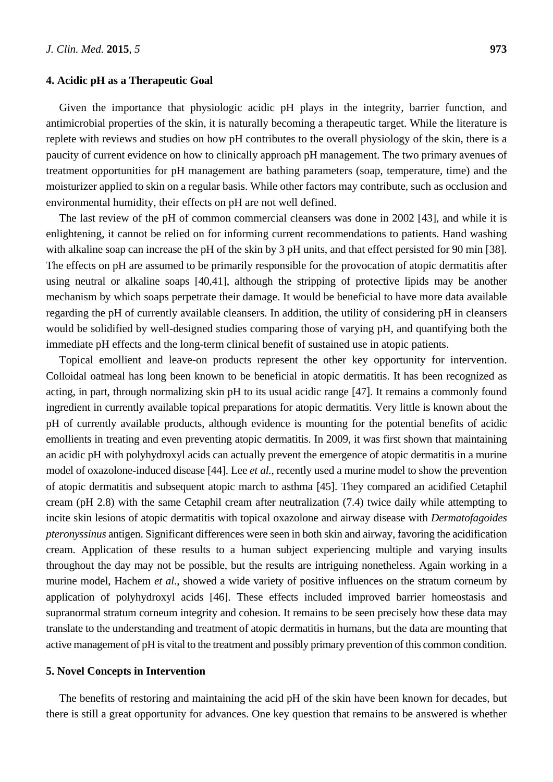#### **4. Acidic pH as a Therapeutic Goal**

Given the importance that physiologic acidic pH plays in the integrity, barrier function, and antimicrobial properties of the skin, it is naturally becoming a therapeutic target. While the literature is replete with reviews and studies on how pH contributes to the overall physiology of the skin, there is a paucity of current evidence on how to clinically approach pH management. The two primary avenues of treatment opportunities for pH management are bathing parameters (soap, temperature, time) and the moisturizer applied to skin on a regular basis. While other factors may contribute, such as occlusion and environmental humidity, their effects on pH are not well defined.

The last review of the pH of common commercial cleansers was done in 2002 [43], and while it is enlightening, it cannot be relied on for informing current recommendations to patients. Hand washing with alkaline soap can increase the pH of the skin by 3 pH units, and that effect persisted for 90 min [38]. The effects on pH are assumed to be primarily responsible for the provocation of atopic dermatitis after using neutral or alkaline soaps [40,41], although the stripping of protective lipids may be another mechanism by which soaps perpetrate their damage. It would be beneficial to have more data available regarding the pH of currently available cleansers. In addition, the utility of considering pH in cleansers would be solidified by well-designed studies comparing those of varying pH, and quantifying both the immediate pH effects and the long-term clinical benefit of sustained use in atopic patients.

Topical emollient and leave-on products represent the other key opportunity for intervention. Colloidal oatmeal has long been known to be beneficial in atopic dermatitis. It has been recognized as acting, in part, through normalizing skin pH to its usual acidic range [47]. It remains a commonly found ingredient in currently available topical preparations for atopic dermatitis. Very little is known about the pH of currently available products, although evidence is mounting for the potential benefits of acidic emollients in treating and even preventing atopic dermatitis. In 2009, it was first shown that maintaining an acidic pH with polyhydroxyl acids can actually prevent the emergence of atopic dermatitis in a murine model of oxazolone-induced disease [44]. Lee *et al.*, recently used a murine model to show the prevention of atopic dermatitis and subsequent atopic march to asthma [45]. They compared an acidified Cetaphil cream (pH 2.8) with the same Cetaphil cream after neutralization (7.4) twice daily while attempting to incite skin lesions of atopic dermatitis with topical oxazolone and airway disease with *Dermatofagoides pteronyssinus* antigen. Significant differences were seen in both skin and airway, favoring the acidification cream. Application of these results to a human subject experiencing multiple and varying insults throughout the day may not be possible, but the results are intriguing nonetheless. Again working in a murine model, Hachem *et al.*, showed a wide variety of positive influences on the stratum corneum by application of polyhydroxyl acids [46]. These effects included improved barrier homeostasis and supranormal stratum corneum integrity and cohesion. It remains to be seen precisely how these data may translate to the understanding and treatment of atopic dermatitis in humans, but the data are mounting that active management of pH is vital to the treatment and possibly primary prevention of this common condition.

## **5. Novel Concepts in Intervention**

The benefits of restoring and maintaining the acid pH of the skin have been known for decades, but there is still a great opportunity for advances. One key question that remains to be answered is whether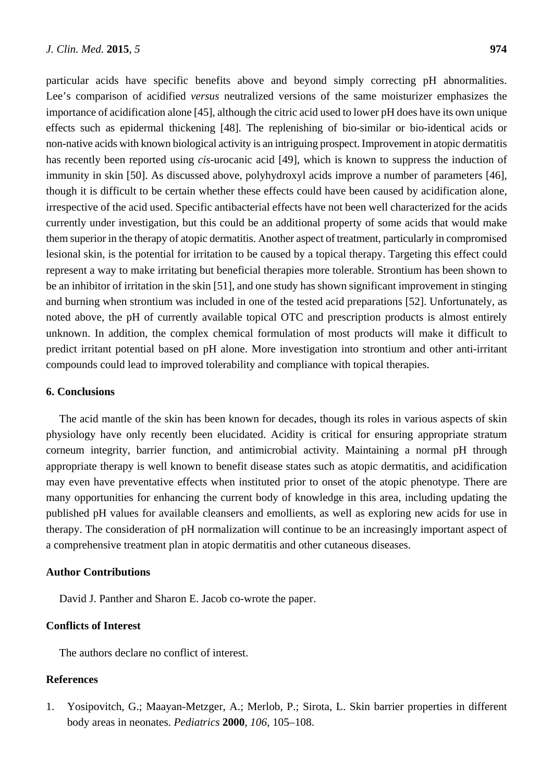particular acids have specific benefits above and beyond simply correcting pH abnormalities. Lee's comparison of acidified *versus* neutralized versions of the same moisturizer emphasizes the importance of acidification alone [45], although the citric acid used to lower pH does have its own unique effects such as epidermal thickening [48]. The replenishing of bio-similar or bio-identical acids or non-native acids with known biological activity is an intriguing prospect. Improvement in atopic dermatitis has recently been reported using *cis*-urocanic acid [49], which is known to suppress the induction of immunity in skin [50]. As discussed above, polyhydroxyl acids improve a number of parameters [46], though it is difficult to be certain whether these effects could have been caused by acidification alone, irrespective of the acid used. Specific antibacterial effects have not been well characterized for the acids currently under investigation, but this could be an additional property of some acids that would make them superior in the therapy of atopic dermatitis. Another aspect of treatment, particularly in compromised lesional skin, is the potential for irritation to be caused by a topical therapy. Targeting this effect could represent a way to make irritating but beneficial therapies more tolerable. Strontium has been shown to be an inhibitor of irritation in the skin [51], and one study has shown significant improvement in stinging and burning when strontium was included in one of the tested acid preparations [52]. Unfortunately, as noted above, the pH of currently available topical OTC and prescription products is almost entirely unknown. In addition, the complex chemical formulation of most products will make it difficult to predict irritant potential based on pH alone. More investigation into strontium and other anti-irritant compounds could lead to improved tolerability and compliance with topical therapies.

## **6. Conclusions**

The acid mantle of the skin has been known for decades, though its roles in various aspects of skin physiology have only recently been elucidated. Acidity is critical for ensuring appropriate stratum corneum integrity, barrier function, and antimicrobial activity. Maintaining a normal pH through appropriate therapy is well known to benefit disease states such as atopic dermatitis, and acidification may even have preventative effects when instituted prior to onset of the atopic phenotype. There are many opportunities for enhancing the current body of knowledge in this area, including updating the published pH values for available cleansers and emollients, as well as exploring new acids for use in therapy. The consideration of pH normalization will continue to be an increasingly important aspect of a comprehensive treatment plan in atopic dermatitis and other cutaneous diseases.

#### **Author Contributions**

David J. Panther and Sharon E. Jacob co-wrote the paper.

# **Conflicts of Interest**

The authors declare no conflict of interest.

## **References**

1. Yosipovitch, G.; Maayan-Metzger, A.; Merlob, P.; Sirota, L. Skin barrier properties in different body areas in neonates. *Pediatrics* **2000**, *106*, 105–108.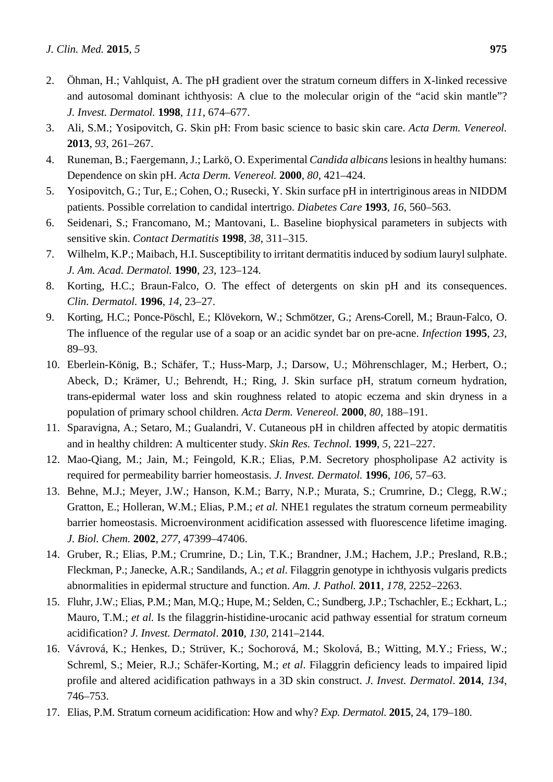- 2. Öhman, H.; Vahlquist, A. The pH gradient over the stratum corneum differs in X-linked recessive and autosomal dominant ichthyosis: A clue to the molecular origin of the "acid skin mantle"? *J. Invest. Dermatol.* **1998**, *111*, 674–677.
- 3. Ali, S.M.; Yosipovitch, G. Skin pH: From basic science to basic skin care. *Acta Derm. Venereol.* **2013**, *93*, 261–267.
- 4. Runeman, B.; Faergemann, J.; Larkö, O. Experimental *Candida albicans* lesions in healthy humans: Dependence on skin pH. *Acta Derm. Venereol.* **2000**, *80*, 421–424.
- 5. Yosipovitch, G.; Tur, E.; Cohen, O.; Rusecki, Y. Skin surface pH in intertriginous areas in NIDDM patients. Possible correlation to candidal intertrigo. *Diabetes Care* **1993**, *16*, 560–563.
- 6. Seidenari, S.; Francomano, M.; Mantovani, L. Baseline biophysical parameters in subjects with sensitive skin. *Contact Dermatitis* **1998**, *38*, 311–315.
- 7. Wilhelm, K.P.; Maibach, H.I. Susceptibility to irritant dermatitis induced by sodium lauryl sulphate. *J. Am. Acad. Dermatol.* **1990**, *23*, 123–124.
- 8. Korting, H.C.; Braun-Falco, O. The effect of detergents on skin pH and its consequences. *Clin. Dermatol.* **1996**, *14*, 23–27.
- 9. Korting, H.C.; Ponce-Pöschl, E.; Klövekorn, W.; Schmötzer, G.; Arens-Corell, M.; Braun-Falco, O. The influence of the regular use of a soap or an acidic syndet bar on pre-acne. *Infection* **1995**, *23*, 89–93.
- 10. Eberlein-König, B.; Schäfer, T.; Huss-Marp, J.; Darsow, U.; Möhrenschlager, M.; Herbert, O.; Abeck, D.; Krämer, U.; Behrendt, H.; Ring, J. Skin surface pH, stratum corneum hydration, trans-epidermal water loss and skin roughness related to atopic eczema and skin dryness in a population of primary school children. *Acta Derm. Venereol.* **2000**, *80*, 188–191.
- 11. Sparavigna, A.; Setaro, M.; Gualandri, V. Cutaneous pH in children affected by atopic dermatitis and in healthy children: A multicenter study. *Skin Res. Technol.* **1999**, *5*, 221–227.
- 12. Mao-Qiang, M.; Jain, M.; Feingold, K.R.; Elias, P.M. Secretory phospholipase A2 activity is required for permeability barrier homeostasis. *J. Invest. Dermatol.* **1996**, *106*, 57–63.
- 13. Behne, M.J.; Meyer, J.W.; Hanson, K.M.; Barry, N.P.; Murata, S.; Crumrine, D.; Clegg, R.W.; Gratton, E.; Holleran, W.M.; Elias, P.M.; *et al.* NHE1 regulates the stratum corneum permeability barrier homeostasis. Microenvironment acidification assessed with fluorescence lifetime imaging. *J. Biol. Chem.* **2002**, *277*, 47399–47406.
- 14. Gruber, R.; Elias, P.M.; Crumrine, D.; Lin, T.K.; Brandner, J.M.; Hachem, J.P.; Presland, R.B.; Fleckman, P.; Janecke, A.R.; Sandilands, A.; *et al*. Filaggrin genotype in ichthyosis vulgaris predicts abnormalities in epidermal structure and function. *Am. J. Pathol.* **2011**, *178*, 2252–2263.
- 15. Fluhr, J.W.; Elias, P.M.; Man, M.Q.; Hupe, M.; Selden, C.; Sundberg, J.P.; Tschachler, E.; Eckhart, L.; Mauro, T.M.; *et al.* Is the filaggrin-histidine-urocanic acid pathway essential for stratum corneum acidification? *J. Invest. Dermatol*. **2010**, *130*, 2141–2144.
- 16. Vávrová, K.; Henkes, D.; Strüver, K.; Sochorová, M.; Skolová, B.; Witting, M.Y.; Friess, W.; Schreml, S.; Meier, R.J.; Schäfer-Korting, M.; *et al*. Filaggrin deficiency leads to impaired lipid profile and altered acidification pathways in a 3D skin construct. *J. Invest. Dermatol*. **2014**, *134*, 746–753.
- 17. Elias, P.M. Stratum corneum acidification: How and why? *Exp. Dermatol.* **2015**, 24, 179–180.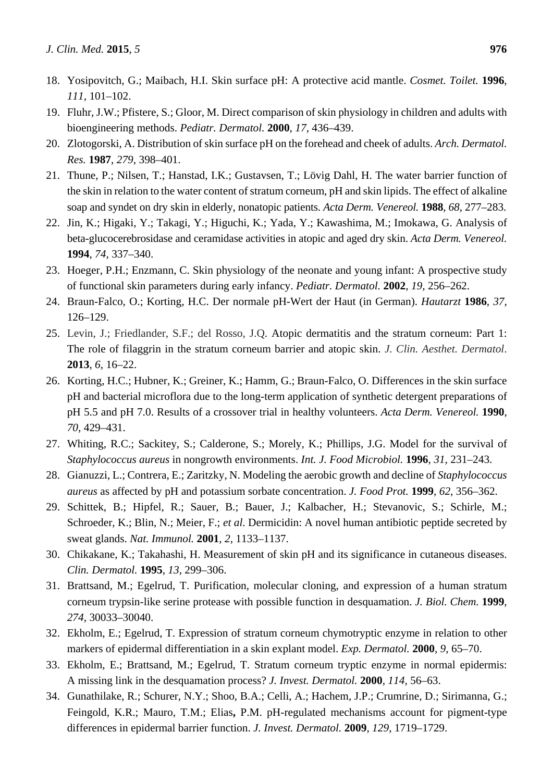- 18. Yosipovitch, G.; Maibach, H.I. Skin surface pH: A protective acid mantle. *Cosmet. Toilet.* **1996**, *111*, 101–102.
- 19. Fluhr, J.W.; Pfistere, S.; Gloor, M. Direct comparison of skin physiology in children and adults with bioengineering methods. *Pediatr. Dermatol.* **2000**, *17*, 436–439.
- 20. Zlotogorski, A. Distribution of skin surface pH on the forehead and cheek of adults. *Arch. Dermatol. Res.* **1987**, *279*, 398–401.
- 21. Thune, P.; Nilsen, T.; Hanstad, I.K.; Gustavsen, T.; Lövig Dahl, H. The water barrier function of the skin in relation to the water content of stratum corneum, pH and skin lipids. The effect of alkaline soap and syndet on dry skin in elderly, nonatopic patients. *Acta Derm. Venereol.* **1988**, *68*, 277–283.
- 22. Jin, K.; Higaki, Y.; Takagi, Y.; Higuchi, K.; Yada, Y.; Kawashima, M.; Imokawa, G. Analysis of beta-glucocerebrosidase and ceramidase activities in atopic and aged dry skin. *Acta Derm. Venereol.* **1994**, *74*, 337–340.
- 23. Hoeger, P.H.; Enzmann, C. Skin physiology of the neonate and young infant: A prospective study of functional skin parameters during early infancy. *Pediatr. Dermatol.* **2002**, *19*, 256–262.
- 24. Braun-Falco, O.; Korting, H.C. Der normale pH-Wert der Haut (in German). *Hautarzt* **1986**, *37*, 126–129.
- 25. Levin, J.; Friedlander, S.F.; del Rosso, J.Q. Atopic dermatitis and the stratum corneum: Part 1: The role of filaggrin in the stratum corneum barrier and atopic skin. *J. Clin. Aesthet. Dermatol*. **2013**, *6*, 16–22.
- 26. Korting, H.C.; Hubner, K.; Greiner, K.; Hamm, G.; Braun-Falco, O. Differences in the skin surface pH and bacterial microflora due to the long-term application of synthetic detergent preparations of pH 5.5 and pH 7.0. Results of a crossover trial in healthy volunteers. *Acta Derm. Venereol.* **1990**, *70*, 429–431.
- 27. Whiting, R.C.; Sackitey, S.; Calderone, S.; Morely, K.; Phillips, J.G. Model for the survival of *Staphylococcus aureus* in nongrowth environments. *Int. J. Food Microbiol.* **1996**, *31*, 231–243.
- 28. Gianuzzi, L.; Contrera, E.; Zaritzky, N. Modeling the aerobic growth and decline of *Staphylococcus aureus* as affected by pH and potassium sorbate concentration. *J. Food Prot.* **1999**, *62*, 356–362.
- 29. Schittek, B.; Hipfel, R.; Sauer, B.; Bauer, J.; Kalbacher, H.; Stevanovic, S.; Schirle, M.; Schroeder, K.; Blin, N.; Meier, F.; *et al*. Dermicidin: A novel human antibiotic peptide secreted by sweat glands. *Nat. Immunol.* **2001**, *2*, 1133–1137.
- 30. Chikakane, K.; Takahashi, H. Measurement of skin pH and its significance in cutaneous diseases. *Clin. Dermatol.* **1995**, *13*, 299–306.
- 31. Brattsand, M.; Egelrud, T. Purification, molecular cloning, and expression of a human stratum corneum trypsin-like serine protease with possible function in desquamation. *J. Biol. Chem.* **1999**, *274*, 30033–30040.
- 32. Ekholm, E.; Egelrud, T. Expression of stratum corneum chymotryptic enzyme in relation to other markers of epidermal differentiation in a skin explant model. *Exp. Dermatol.* **2000**, *9*, 65–70.
- 33. Ekholm, E.; Brattsand, M.; Egelrud, T. Stratum corneum tryptic enzyme in normal epidermis: A missing link in the desquamation process? *J. Invest. Dermatol.* **2000**, *114*, 56–63.
- 34. Gunathilake, R.; Schurer, N.Y.; Shoo, B.A.; Celli, A.; Hachem, J.P.; Crumrine, D.; Sirimanna, G.; Feingold, K.R.; Mauro, T.M.; Elias**,** P.M. pH-regulated mechanisms account for pigment-type differences in epidermal barrier function. *J. Invest. Dermatol.* **2009**, *129*, 1719–1729.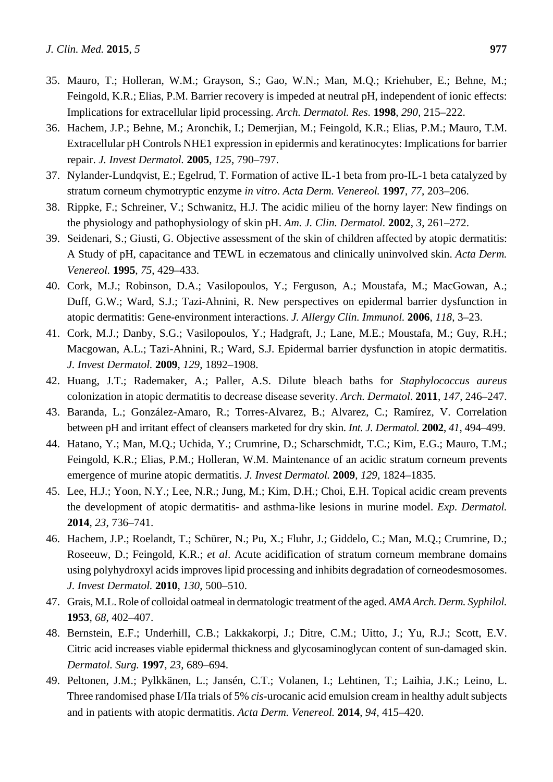- 35. Mauro, T.; Holleran, W.M.; Grayson, S.; Gao, W.N.; Man, M.Q.; Kriehuber, E.; Behne, M.; Feingold, K.R.; Elias, P.M. Barrier recovery is impeded at neutral pH, independent of ionic effects: Implications for extracellular lipid processing. *Arch. Dermatol. Res.* **1998**, *290*, 215–222.
- 36. Hachem, J.P.; Behne, M.; Aronchik, I.; Demerjian, M.; Feingold, K.R.; Elias, P.M.; Mauro, T.M. Extracellular pH Controls NHE1 expression in epidermis and keratinocytes: Implications for barrier repair. *J. Invest Dermatol.* **2005**, *125*, 790–797.
- 37. Nylander-Lundqvist, E.; Egelrud, T. Formation of active IL-1 beta from pro-IL-1 beta catalyzed by stratum corneum chymotryptic enzyme *in vitro*. *Acta Derm. Venereol.* **1997**, *77*, 203–206.
- 38. Rippke, F.; Schreiner, V.; Schwanitz, H.J. The acidic milieu of the horny layer: New findings on the physiology and pathophysiology of skin pH. *Am. J. Clin. Dermatol.* **2002**, *3*, 261–272.
- 39. Seidenari, S.; Giusti, G. Objective assessment of the skin of children affected by atopic dermatitis: A Study of pH, capacitance and TEWL in eczematous and clinically uninvolved skin. *Acta Derm. Venereol.* **1995**, *75*, 429–433.
- 40. Cork, M.J.; Robinson, D.A.; Vasilopoulos, Y.; Ferguson, A.; Moustafa, M.; MacGowan, A.; Duff, G.W.; Ward, S.J.; Tazi-Ahnini, R. New perspectives on epidermal barrier dysfunction in atopic dermatitis: Gene-environment interactions. *J. Allergy Clin. Immunol.* **2006**, *118*, 3–23.
- 41. Cork, M.J.; Danby, S.G.; Vasilopoulos, Y.; Hadgraft, J.; Lane, M.E.; Moustafa, M.; Guy, R.H.; Macgowan, A.L.; Tazi-Ahnini, R.; Ward, S.J. Epidermal barrier dysfunction in atopic dermatitis. *J. Invest Dermatol.* **2009**, *129*, 1892–1908.
- 42. Huang, J.T.; Rademaker, A.; Paller, A.S. Dilute bleach baths for *Staphylococcus aureus* colonization in atopic dermatitis to decrease disease severity. *Arch. Dermatol*. **2011**, *147*, 246–247.
- 43. Baranda, L.; González-Amaro, R.; Torres-Alvarez, B.; Alvarez, C.; Ramírez, V. Correlation between pH and irritant effect of cleansers marketed for dry skin. *Int. J. Dermatol.* **2002**, *41*, 494–499.
- 44. Hatano, Y.; Man, M.Q.; Uchida, Y.; Crumrine, D.; Scharschmidt, T.C.; Kim, E.G.; Mauro, T.M.; Feingold, K.R.; Elias, P.M.; Holleran, W.M. Maintenance of an acidic stratum corneum prevents emergence of murine atopic dermatitis. *J. Invest Dermatol.* **2009**, *129*, 1824–1835.
- 45. Lee, H.J.; Yoon, N.Y.; Lee, N.R.; Jung, M.; Kim, D.H.; Choi, E.H. Topical acidic cream prevents the development of atopic dermatitis- and asthma-like lesions in murine model. *Exp. Dermatol.* **2014**, *23*, 736–741.
- 46. Hachem, J.P.; Roelandt, T.; Schürer, N.; Pu, X.; Fluhr, J.; Giddelo, C.; Man, M.Q.; Crumrine, D.; Roseeuw, D.; Feingold, K.R.; *et al*. Acute acidification of stratum corneum membrane domains using polyhydroxyl acids improves lipid processing and inhibits degradation of corneodesmosomes. *J. Invest Dermatol.* **2010**, *130*, 500–510.
- 47. Grais, M.L. Role of colloidal oatmeal in dermatologic treatment of the aged. *AMA Arch. Derm. Syphilol.*  **1953**, *68*, 402–407.
- 48. Bernstein, E.F.; Underhill, C.B.; Lakkakorpi, J.; Ditre, C.M.; Uitto, J.; Yu, R.J.; Scott, E.V. Citric acid increases viable epidermal thickness and glycosaminoglycan content of sun-damaged skin. *Dermatol. Surg.* **1997**, *23*, 689–694.
- 49. Peltonen, J.M.; Pylkkänen, L.; Jansén, C.T.; Volanen, I.; Lehtinen, T.; Laihia, J.K.; Leino, L. Three randomised phase I/IIa trials of 5% *cis*-urocanic acid emulsion cream in healthy adult subjects and in patients with atopic dermatitis. *Acta Derm. Venereol.* **2014**, *94*, 415–420.